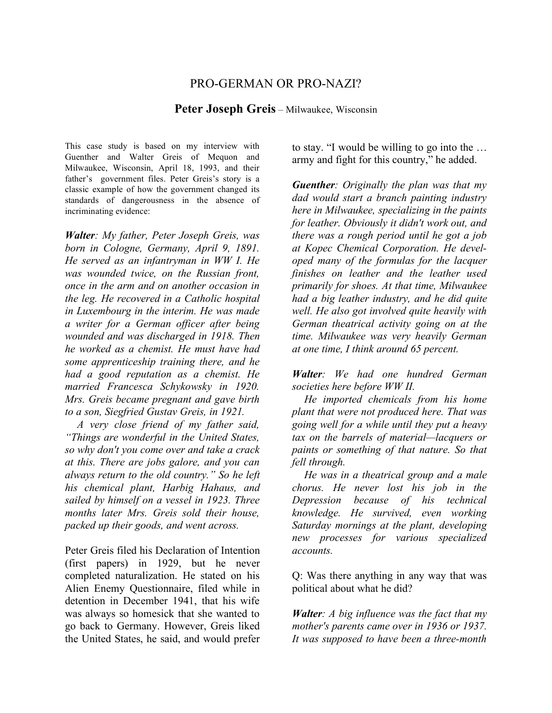## PRO-GERMAN OR PRO-NAZI?

**Peter Joseph Greis** – Milwaukee, Wisconsin

This case study is based on my interview with Guenther and Walter Greis of Mequon and Milwaukee, Wisconsin, April 18, 1993, and their father's government files. Peter Greis's story is a classic example of how the government changed its standards of dangerousness in the absence of incriminating evidence:

*Walter: My father, Peter Joseph Greis, was born in Cologne, Germany, April 9, 1891. He served as an infantryman in WW I. He was wounded twice, on the Russian front, once in the arm and on another occasion in the leg. He recovered in a Catholic hospital in Luxembourg in the interim. He was made a writer for a German officer after being wounded and was discharged in 1918. Then he worked as a chemist. He must have had some apprenticeship training there, and he had a good reputation as a chemist. He married Francesca Schykowsky in 1920. Mrs. Greis became pregnant and gave birth to a son, Siegfried Gustav Greis, in 1921.*

*A very close friend of my father said, "Things are wonderful in the United States, so why don't you come over and take a crack at this. There are jobs galore, and you can always return to the old country." So he left his chemical plant, Harbig Hahaus, and sailed by himself on a vessel in 1923. Three months later Mrs. Greis sold their house, packed up their goods, and went across.*

Peter Greis filed his Declaration of Intention (first papers) in 1929, but he never completed naturalization. He stated on his Alien Enemy Questionnaire, filed while in detention in December 1941, that his wife was always so homesick that she wanted to go back to Germany. However, Greis liked the United States, he said, and would prefer

to stay. "I would be willing to go into the … army and fight for this country," he added.

*Guenther: Originally the plan was that my dad would start a branch painting industry here in Milwaukee, specializing in the paints for leather. Obviously it didn't work out, and there was a rough period until he got a job at Kopec Chemical Corporation. He developed many of the formulas for the lacquer finishes on leather and the leather used primarily for shoes. At that time, Milwaukee had a big leather industry, and he did quite well. He also got involved quite heavily with German theatrical activity going on at the time. Milwaukee was very heavily German at one time, I think around 65 percent.*

*Walter: We had one hundred German societies here before WW II.*

*He imported chemicals from his home plant that were not produced here. That was going well for a while until they put a heavy tax on the barrels of material—lacquers or paints or something of that nature. So that fell through.*

*He was in a theatrical group and a male chorus. He never lost his job in the Depression because of his technical knowledge. He survived, even working Saturday mornings at the plant, developing new processes for various specialized accounts.*

Q: Was there anything in any way that was political about what he did?

*Walter: A big influence was the fact that my mother's parents came over in 1936 or 1937. It was supposed to have been a three-month*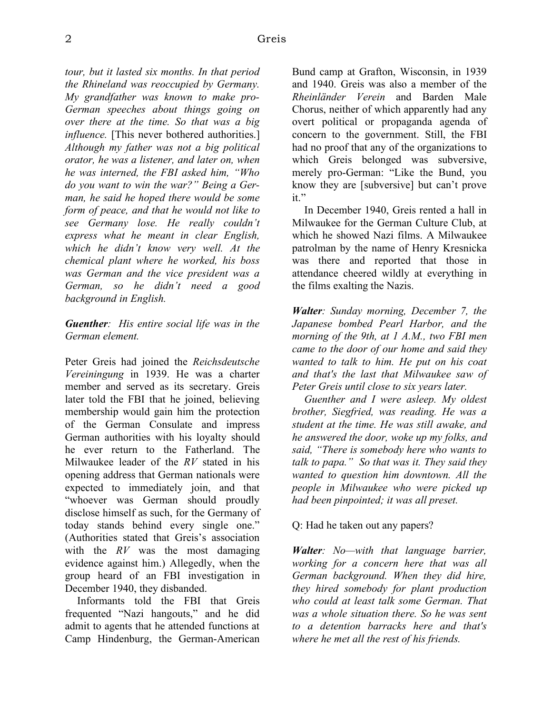*tour, but it lasted six months. In that period the Rhineland was reoccupied by Germany. My grandfather was known to make pro-German speeches about things going on over there at the time. So that was a big influence*. [This never bothered authorities.] *Although my father was not a big political orator, he was a listener, and later on, when he was interned, the FBI asked him, "Who do you want to win the war?" Being a German, he said he hoped there would be some form of peace, and that he would not like to see Germany lose. He really couldn't express what he meant in clear English, which he didn't know very well. At the chemical plant where he worked, his boss was German and the vice president was a German, so he didn't need a good background in English.* 

## *Guenther: His entire social life was in the German element.*

Peter Greis had joined the *Reichsdeutsche Vereiningung* in 1939. He was a charter member and served as its secretary. Greis later told the FBI that he joined, believing membership would gain him the protection of the German Consulate and impress German authorities with his loyalty should he ever return to the Fatherland. The Milwaukee leader of the *RV* stated in his opening address that German nationals were expected to immediately join, and that "whoever was German should proudly disclose himself as such, for the Germany of today stands behind every single one." (Authorities stated that Greis's association with the *RV* was the most damaging evidence against him.) Allegedly, when the group heard of an FBI investigation in December 1940, they disbanded.

Informants told the FBI that Greis frequented "Nazi hangouts," and he did admit to agents that he attended functions at Camp Hindenburg, the German-American Bund camp at Grafton, Wisconsin, in 1939 and 1940. Greis was also a member of the *Rheinländer Verein* and Barden Male Chorus, neither of which apparently had any overt political or propaganda agenda of concern to the government. Still, the FBI had no proof that any of the organizations to which Greis belonged was subversive, merely pro-German: "Like the Bund, you know they are [subversive] but can't prove it."

In December 1940, Greis rented a hall in Milwaukee for the German Culture Club, at which he showed Nazi films. A Milwaukee patrolman by the name of Henry Kresnicka was there and reported that those in attendance cheered wildly at everything in the films exalting the Nazis.

*Walter: Sunday morning, December 7, the Japanese bombed Pearl Harbor, and the morning of the 9th, at 1 A.M., two FBI men came to the door of our home and said they wanted to talk to him. He put on his coat and that's the last that Milwaukee saw of Peter Greis until close to six years later.* 

*Guenther and I were asleep. My oldest brother, Siegfried, was reading. He was a student at the time. He was still awake, and he answered the door, woke up my folks, and said, "There is somebody here who wants to talk to papa." So that was it. They said they wanted to question him downtown. All the people in Milwaukee who were picked up had been pinpointed; it was all preset.*

Q: Had he taken out any papers?

*Walter: No—with that language barrier, working for a concern here that was all German background. When they did hire, they hired somebody for plant production who could at least talk some German. That was a whole situation there. So he was sent to a detention barracks here and that's where he met all the rest of his friends.*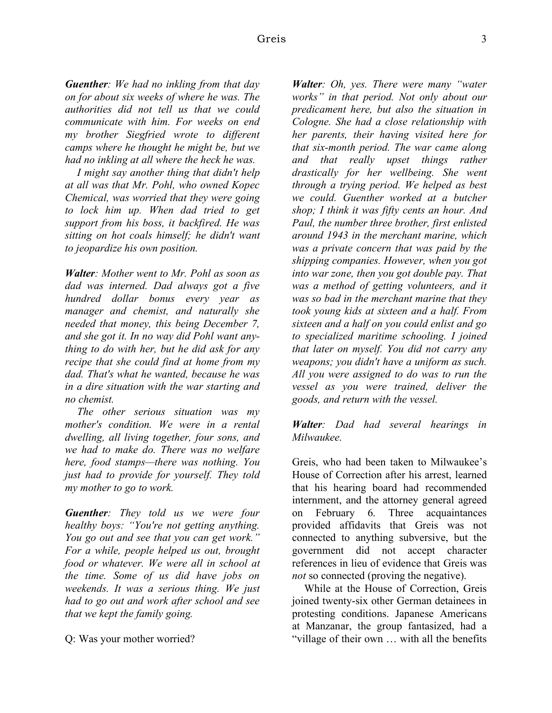*Guenther: We had no inkling from that day on for about six weeks of where he was. The authorities did not tell us that we could communicate with him. For weeks on end my brother Siegfried wrote to different camps where he thought he might be, but we had no inkling at all where the heck he was.*

*I might say another thing that didn't help at all was that Mr. Pohl, who owned Kopec Chemical, was worried that they were going to lock him up. When dad tried to get support from his boss, it backfired. He was sitting on hot coals himself; he didn't want to jeopardize his own position.*

*Walter: Mother went to Mr. Pohl as soon as dad was interned. Dad always got a five hundred dollar bonus every year as manager and chemist, and naturally she needed that money, this being December 7, and she got it. In no way did Pohl want anything to do with her, but he did ask for any recipe that she could find at home from my dad. That's what he wanted, because he was in a dire situation with the war starting and no chemist.* 

*The other serious situation was my mother's condition. We were in a rental dwelling, all living together, four sons, and we had to make do. There was no welfare here, food stamps—there was nothing. You just had to provide for yourself. They told my mother to go to work.* 

*Guenther: They told us we were four healthy boys: "You're not getting anything. You go out and see that you can get work." For a while, people helped us out, brought food or whatever. We were all in school at the time. Some of us did have jobs on weekends. It was a serious thing. We just had to go out and work after school and see that we kept the family going.*

Q: Was your mother worried?

*Walter: Oh, yes. There were many "water works" in that period. Not only about our predicament here, but also the situation in Cologne. She had a close relationship with her parents, their having visited here for that six-month period. The war came along and that really upset things rather drastically for her wellbeing. She went through a trying period. We helped as best we could. Guenther worked at a butcher shop; I think it was fifty cents an hour. And Paul, the number three brother, first enlisted around 1943 in the merchant marine, which was a private concern that was paid by the shipping companies. However, when you got into war zone, then you got double pay. That was a method of getting volunteers, and it was so bad in the merchant marine that they took young kids at sixteen and a half. From sixteen and a half on you could enlist and go to specialized maritime schooling. I joined that later on myself. You did not carry any weapons; you didn't have a uniform as such. All you were assigned to do was to run the vessel as you were trained, deliver the goods, and return with the vessel.*

## *Walter: Dad had several hearings in Milwaukee.*

Greis, who had been taken to Milwaukee's House of Correction after his arrest, learned that his hearing board had recommended internment, and the attorney general agreed on February 6. Three acquaintances provided affidavits that Greis was not connected to anything subversive, but the government did not accept character references in lieu of evidence that Greis was *not* so connected (proving the negative).

While at the House of Correction, Greis joined twenty-six other German detainees in protesting conditions. Japanese Americans at Manzanar, the group fantasized, had a "village of their own … with all the benefits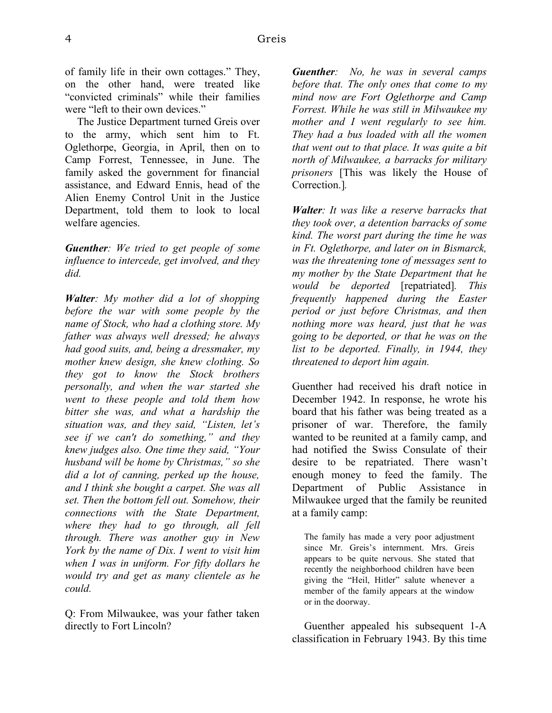of family life in their own cottages." They, on the other hand, were treated like "convicted criminals" while their families were "left to their own devices."

The Justice Department turned Greis over to the army, which sent him to Ft. Oglethorpe, Georgia, in April, then on to Camp Forrest, Tennessee, in June. The family asked the government for financial assistance, and Edward Ennis, head of the Alien Enemy Control Unit in the Justice Department, told them to look to local welfare agencies.

*Guenther: We tried to get people of some influence to intercede, get involved, and they did.*

*Walter: My mother did a lot of shopping before the war with some people by the name of Stock, who had a clothing store. My father was always well dressed; he always had good suits, and, being a dressmaker, my mother knew design, she knew clothing. So they got to know the Stock brothers personally, and when the war started she went to these people and told them how bitter she was, and what a hardship the situation was, and they said, "Listen, let's see if we can't do something," and they knew judges also. One time they said, "Your husband will be home by Christmas," so she did a lot of canning, perked up the house, and I think she bought a carpet. She was all set. Then the bottom fell out. Somehow, their connections with the State Department, where they had to go through, all fell through. There was another guy in New York by the name of Dix. I went to visit him when I was in uniform. For fifty dollars he would try and get as many clientele as he could.* 

Q: From Milwaukee, was your father taken directly to Fort Lincoln?

*Guenther: No, he was in several camps before that. The only ones that come to my mind now are Fort Oglethorpe and Camp Forrest. While he was still in Milwaukee my mother and I went regularly to see him. They had a bus loaded with all the women that went out to that place. It was quite a bit north of Milwaukee, a barracks for military prisoners* [This was likely the House of Correction.]*.*

*Walter: It was like a reserve barracks that they took over, a detention barracks of some kind. The worst part during the time he was in Ft. Oglethorpe, and later on in Bismarck, was the threatening tone of messages sent to my mother by the State Department that he would be deported* [repatriated]*. This frequently happened during the Easter period or just before Christmas, and then nothing more was heard, just that he was going to be deported, or that he was on the list to be deported. Finally, in 1944, they threatened to deport him again.*

Guenther had received his draft notice in December 1942. In response, he wrote his board that his father was being treated as a prisoner of war. Therefore, the family wanted to be reunited at a family camp, and had notified the Swiss Consulate of their desire to be repatriated. There wasn't enough money to feed the family. The Department of Public Assistance in Milwaukee urged that the family be reunited at a family camp:

The family has made a very poor adjustment since Mr. Greis's internment. Mrs. Greis appears to be quite nervous. She stated that recently the neighborhood children have been giving the "Heil, Hitler" salute whenever a member of the family appears at the window or in the doorway.

Guenther appealed his subsequent 1-A classification in February 1943. By this time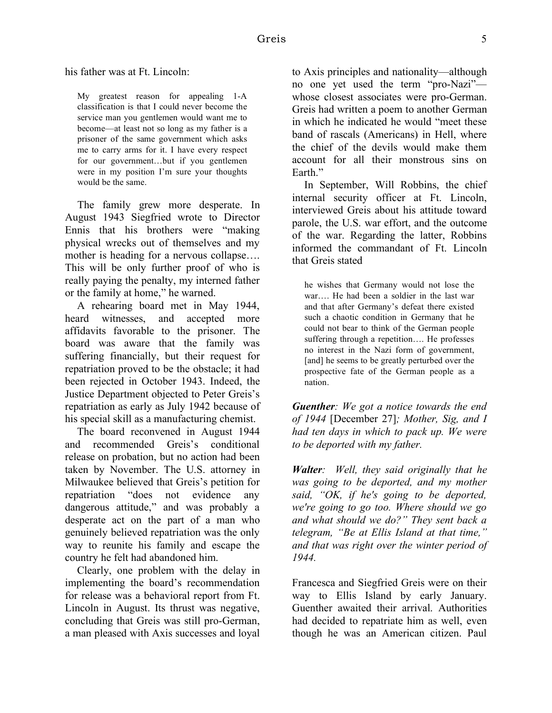his father was at Ft. Lincoln:

My greatest reason for appealing 1-A classification is that I could never become the service man you gentlemen would want me to become—at least not so long as my father is a prisoner of the same government which asks me to carry arms for it. I have every respect for our government…but if you gentlemen were in my position I'm sure your thoughts would be the same.

The family grew more desperate. In August 1943 Siegfried wrote to Director Ennis that his brothers were "making physical wrecks out of themselves and my mother is heading for a nervous collapse…. This will be only further proof of who is really paying the penalty, my interned father or the family at home," he warned.

A rehearing board met in May 1944, heard witnesses, and accepted more affidavits favorable to the prisoner. The board was aware that the family was suffering financially, but their request for repatriation proved to be the obstacle; it had been rejected in October 1943. Indeed, the Justice Department objected to Peter Greis's repatriation as early as July 1942 because of his special skill as a manufacturing chemist.

The board reconvened in August 1944 and recommended Greis's conditional release on probation, but no action had been taken by November. The U.S. attorney in Milwaukee believed that Greis's petition for repatriation "does not evidence any dangerous attitude," and was probably a desperate act on the part of a man who genuinely believed repatriation was the only way to reunite his family and escape the country he felt had abandoned him.

Clearly, one problem with the delay in implementing the board's recommendation for release was a behavioral report from Ft. Lincoln in August. Its thrust was negative, concluding that Greis was still pro-German, a man pleased with Axis successes and loyal to Axis principles and nationality—although no one yet used the term "pro-Nazi" whose closest associates were pro-German. Greis had written a poem to another German in which he indicated he would "meet these band of rascals (Americans) in Hell, where the chief of the devils would make them account for all their monstrous sins on Earth."

In September, Will Robbins, the chief internal security officer at Ft. Lincoln, interviewed Greis about his attitude toward parole, the U.S. war effort, and the outcome of the war. Regarding the latter, Robbins informed the commandant of Ft. Lincoln that Greis stated

he wishes that Germany would not lose the war…. He had been a soldier in the last war and that after Germany's defeat there existed such a chaotic condition in Germany that he could not bear to think of the German people suffering through a repetition…. He professes no interest in the Nazi form of government, [and] he seems to be greatly perturbed over the prospective fate of the German people as a nation.

*Guenther: We got a notice towards the end of 1944* [December 27]*; Mother, Sig, and I had ten days in which to pack up. We were to be deported with my father.* 

*Walter: Well, they said originally that he was going to be deported, and my mother said, "OK, if he's going to be deported, we're going to go too. Where should we go and what should we do?" They sent back a telegram, "Be at Ellis Island at that time," and that was right over the winter period of 1944.*

Francesca and Siegfried Greis were on their way to Ellis Island by early January. Guenther awaited their arrival. Authorities had decided to repatriate him as well, even though he was an American citizen. Paul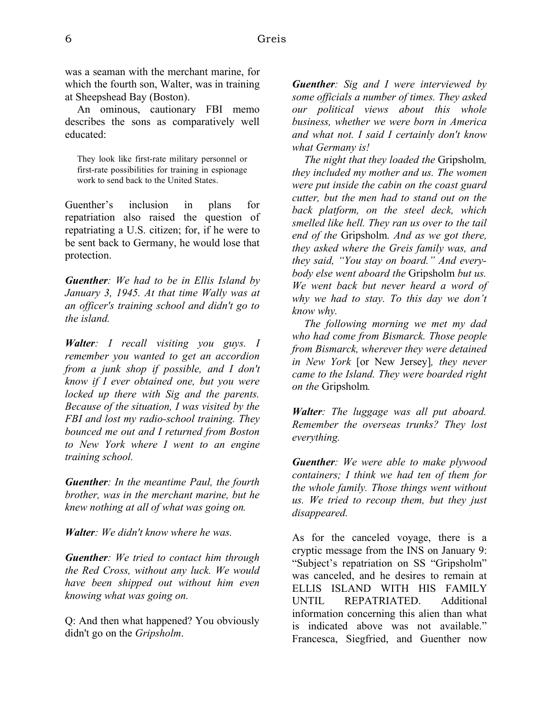was a seaman with the merchant marine, for which the fourth son, Walter, was in training at Sheepshead Bay (Boston).

An ominous, cautionary FBI memo describes the sons as comparatively well educated:

They look like first-rate military personnel or first-rate possibilities for training in espionage work to send back to the United States.

Guenther's inclusion in plans for repatriation also raised the question of repatriating a U.S. citizen; for, if he were to be sent back to Germany, he would lose that protection.

*Guenther: We had to be in Ellis Island by January 3, 1945. At that time Wally was at an officer's training school and didn't go to the island.*

*Walter: I recall visiting you guys. I remember you wanted to get an accordion from a junk shop if possible, and I don't know if I ever obtained one, but you were locked up there with Sig and the parents. Because of the situation, I was visited by the FBI and lost my radio-school training. They bounced me out and I returned from Boston to New York where I went to an engine training school.*

*Guenther: In the meantime Paul, the fourth brother, was in the merchant marine, but he knew nothing at all of what was going on.* 

*Walter: We didn't know where he was.* 

*Guenther: We tried to contact him through the Red Cross, without any luck. We would have been shipped out without him even knowing what was going on.* 

Q: And then what happened? You obviously didn't go on the *Gripsholm*.

*Guenther: Sig and I were interviewed by some officials a number of times. They asked our political views about this whole business, whether we were born in America and what not. I said I certainly don't know what Germany is!* 

*The night that they loaded the* Gripsholm*, they included my mother and us. The women were put inside the cabin on the coast guard cutter, but the men had to stand out on the back platform, on the steel deck, which smelled like hell. They ran us over to the tail end of the* Gripsholm*. And as we got there, they asked where the Greis family was, and they said, "You stay on board." And everybody else went aboard the* Gripsholm *but us. We went back but never heard a word of why we had to stay. To this day we don't know why.* 

*The following morning we met my dad who had come from Bismarck. Those people from Bismarck, wherever they were detained in New York* [or New Jersey]*, they never came to the Island. They were boarded right on the* Gripsholm*.*

*Walter: The luggage was all put aboard. Remember the overseas trunks? They lost everything.*

*Guenther: We were able to make plywood containers; I think we had ten of them for the whole family. Those things went without us. We tried to recoup them, but they just disappeared.*

As for the canceled voyage, there is a cryptic message from the INS on January 9: "Subject's repatriation on SS "Gripsholm" was canceled, and he desires to remain at ELLIS ISLAND WITH HIS FAMILY UNTIL REPATRIATED. Additional information concerning this alien than what is indicated above was not available." Francesca, Siegfried, and Guenther now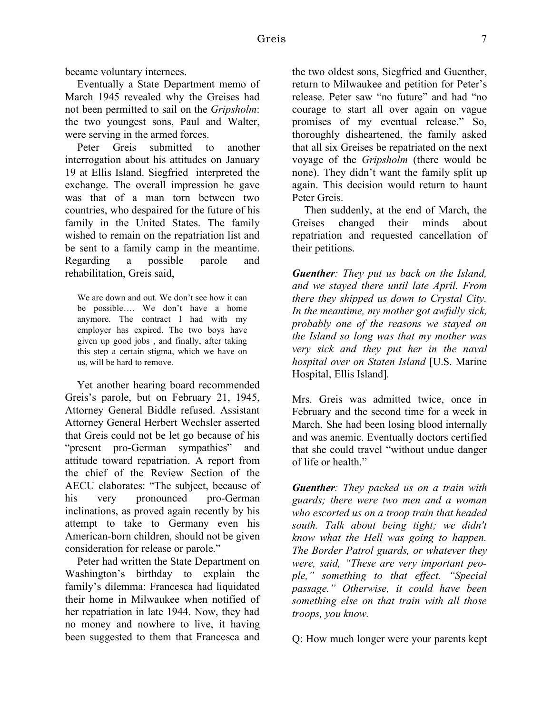became voluntary internees.

Eventually a State Department memo of March 1945 revealed why the Greises had not been permitted to sail on the *Gripsholm*: the two youngest sons, Paul and Walter, were serving in the armed forces.

Peter Greis submitted to another interrogation about his attitudes on January 19 at Ellis Island. Siegfried interpreted the exchange. The overall impression he gave was that of a man torn between two countries, who despaired for the future of his family in the United States. The family wished to remain on the repatriation list and be sent to a family camp in the meantime. Regarding a possible parole and rehabilitation, Greis said,

We are down and out. We don't see how it can be possible…. We don't have a home anymore. The contract I had with my employer has expired. The two boys have given up good jobs , and finally, after taking this step a certain stigma, which we have on us, will be hard to remove.

Yet another hearing board recommended Greis's parole, but on February 21, 1945, Attorney General Biddle refused. Assistant Attorney General Herbert Wechsler asserted that Greis could not be let go because of his "present pro-German sympathies" and attitude toward repatriation. A report from the chief of the Review Section of the AECU elaborates: "The subject, because of his very pronounced pro-German inclinations, as proved again recently by his attempt to take to Germany even his American-born children, should not be given consideration for release or parole."

Peter had written the State Department on Washington's birthday to explain the family's dilemma: Francesca had liquidated their home in Milwaukee when notified of her repatriation in late 1944. Now, they had no money and nowhere to live, it having been suggested to them that Francesca and the two oldest sons, Siegfried and Guenther, return to Milwaukee and petition for Peter's release. Peter saw "no future" and had "no courage to start all over again on vague promises of my eventual release." So, thoroughly disheartened, the family asked that all six Greises be repatriated on the next voyage of the *Gripsholm* (there would be none). They didn't want the family split up again. This decision would return to haunt Peter Greis.

Then suddenly, at the end of March, the Greises changed their minds about repatriation and requested cancellation of their petitions.

*Guenther: They put us back on the Island, and we stayed there until late April. From there they shipped us down to Crystal City. In the meantime, my mother got awfully sick, probably one of the reasons we stayed on the Island so long was that my mother was very sick and they put her in the naval hospital over on Staten Island* [U.S. Marine Hospital, Ellis Island]*.*

Mrs. Greis was admitted twice, once in February and the second time for a week in March. She had been losing blood internally and was anemic. Eventually doctors certified that she could travel "without undue danger of life or health"

*Guenther: They packed us on a train with guards; there were two men and a woman who escorted us on a troop train that headed south. Talk about being tight; we didn't know what the Hell was going to happen. The Border Patrol guards, or whatever they were, said, "These are very important people," something to that effect. "Special passage." Otherwise, it could have been something else on that train with all those troops, you know.*

Q: How much longer were your parents kept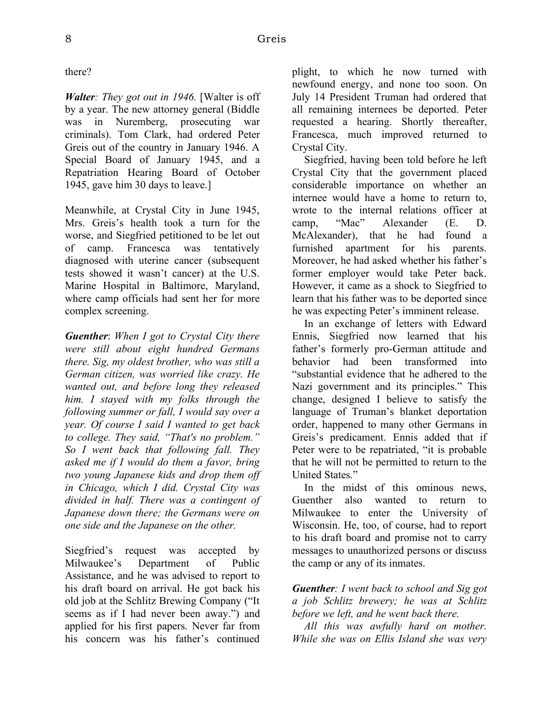there?

*Walter: They got out in 1946.* [Walter is off by a year. The new attorney general (Biddle was in Nuremberg, prosecuting war criminals). Tom Clark, had ordered Peter Greis out of the country in January 1946. A Special Board of January 1945, and a Repatriation Hearing Board of October 1945, gave him 30 days to leave.]

Meanwhile, at Crystal City in June 1945, Mrs. Greis's health took a turn for the worse, and Siegfried petitioned to be let out of camp. Francesca was tentatively diagnosed with uterine cancer (subsequent tests showed it wasn't cancer) at the U.S. Marine Hospital in Baltimore, Maryland, where camp officials had sent her for more complex screening.

*Guenther*: *When I got to Crystal City there were still about eight hundred Germans there. Sig, my oldest brother, who was still a German citizen, was worried like crazy. He wanted out, and before long they released him. I stayed with my folks through the following summer or fall, I would say over a year. Of course I said I wanted to get back to college. They said, "That's no problem." So I went back that following fall. They asked me if I would do them a favor, bring two young Japanese kids and drop them off in Chicago, which I did. Crystal City was divided in half. There was a contingent of Japanese down there; the Germans were on one side and the Japanese on the other.*

Siegfried's request was accepted by Milwaukee's Department of Public Assistance, and he was advised to report to his draft board on arrival. He got back his old job at the Schlitz Brewing Company ("It seems as if I had never been away.") and applied for his first papers. Never far from his concern was his father's continued

plight, to which he now turned with newfound energy, and none too soon. On July 14 President Truman had ordered that all remaining internees be deported. Peter requested a hearing. Shortly thereafter, Francesca, much improved returned to Crystal City.

Siegfried, having been told before he left Crystal City that the government placed considerable importance on whether an internee would have a home to return to, wrote to the internal relations officer at camp, "Mac" Alexander (E. D. McAlexander), that he had found a furnished apartment for his parents. Moreover, he had asked whether his father's former employer would take Peter back. However, it came as a shock to Siegfried to learn that his father was to be deported since he was expecting Peter's imminent release.

In an exchange of letters with Edward Ennis, Siegfried now learned that his father's formerly pro-German attitude and behavior had been transformed into "substantial evidence that he adhered to the Nazi government and its principles." This change, designed I believe to satisfy the language of Truman's blanket deportation order, happened to many other Germans in Greis's predicament. Ennis added that if Peter were to be repatriated, "it is probable that he will not be permitted to return to the United States."

In the midst of this ominous news, Guenther also wanted to return to Milwaukee to enter the University of Wisconsin. He, too, of course, had to report to his draft board and promise not to carry messages to unauthorized persons or discuss the camp or any of its inmates.

*Guenther: I went back to school and Sig got a job Schlitz brewery; he was at Schlitz before we left, and he went back there.*

*All this was awfully hard on mother. While she was on Ellis Island she was very*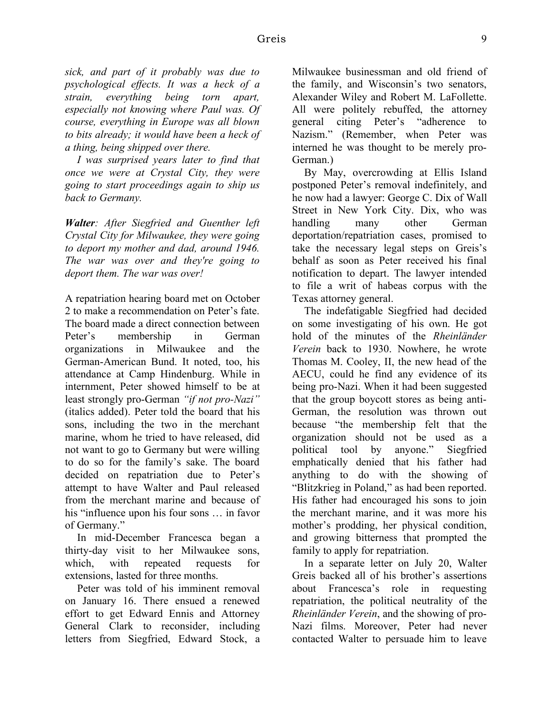*sick, and part of it probably was due to psychological effects. It was a heck of a strain, everything being torn apart, especially not knowing where Paul was. Of course, everything in Europe was all blown to bits already; it would have been a heck of a thing, being shipped over there.*

*I was surprised years later to find that once we were at Crystal City, they were going to start proceedings again to ship us back to Germany.*

*Walter: After Siegfried and Guenther left Crystal City for Milwaukee, they were going to deport my mother and dad, around 1946. The war was over and they're going to deport them. The war was over!*

A repatriation hearing board met on October 2 to make a recommendation on Peter's fate. The board made a direct connection between Peter's membership in German organizations in Milwaukee and the German-American Bund. It noted, too, his attendance at Camp Hindenburg. While in internment, Peter showed himself to be at least strongly pro-German *"if not pro-Nazi"* (italics added). Peter told the board that his sons, including the two in the merchant marine, whom he tried to have released, did not want to go to Germany but were willing to do so for the family's sake. The board decided on repatriation due to Peter's attempt to have Walter and Paul released from the merchant marine and because of his "influence upon his four sons … in favor of Germany."

In mid-December Francesca began a thirty-day visit to her Milwaukee sons, which, with repeated requests for extensions, lasted for three months.

Peter was told of his imminent removal on January 16. There ensued a renewed effort to get Edward Ennis and Attorney General Clark to reconsider, including letters from Siegfried, Edward Stock, a Milwaukee businessman and old friend of the family, and Wisconsin's two senators, Alexander Wiley and Robert M. LaFollette. All were politely rebuffed, the attorney general citing Peter's "adherence to Nazism." (Remember, when Peter was interned he was thought to be merely pro-German.)

By May, overcrowding at Ellis Island postponed Peter's removal indefinitely, and he now had a lawyer: George C. Dix of Wall Street in New York City. Dix, who was handling many other German deportation/repatriation cases, promised to take the necessary legal steps on Greis's behalf as soon as Peter received his final notification to depart. The lawyer intended to file a writ of habeas corpus with the Texas attorney general.

The indefatigable Siegfried had decided on some investigating of his own. He got hold of the minutes of the *Rheinländer Verein* back to 1930. Nowhere, he wrote Thomas M. Cooley, II, the new head of the AECU, could he find any evidence of its being pro-Nazi. When it had been suggested that the group boycott stores as being anti-German, the resolution was thrown out because "the membership felt that the organization should not be used as a political tool by anyone." Siegfried emphatically denied that his father had anything to do with the showing of "Blitzkrieg in Poland," as had been reported. His father had encouraged his sons to join the merchant marine, and it was more his mother's prodding, her physical condition, and growing bitterness that prompted the family to apply for repatriation.

In a separate letter on July 20, Walter Greis backed all of his brother's assertions about Francesca's role in requesting repatriation, the political neutrality of the *Rheinländer Verein*, and the showing of pro-Nazi films. Moreover, Peter had never contacted Walter to persuade him to leave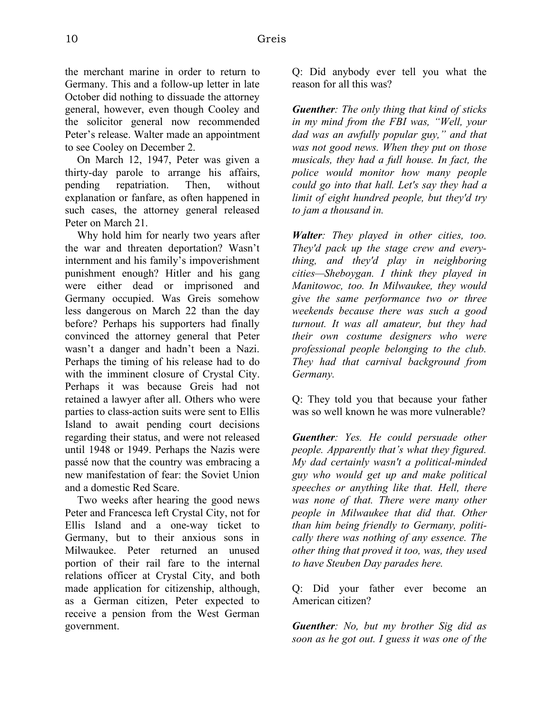the merchant marine in order to return to Germany. This and a follow-up letter in late October did nothing to dissuade the attorney general, however, even though Cooley and the solicitor general now recommended Peter's release. Walter made an appointment to see Cooley on December 2.

On March 12, 1947, Peter was given a thirty-day parole to arrange his affairs, pending repatriation. Then, without explanation or fanfare, as often happened in such cases, the attorney general released Peter on March 21.

Why hold him for nearly two years after the war and threaten deportation? Wasn't internment and his family's impoverishment punishment enough? Hitler and his gang were either dead or imprisoned and Germany occupied. Was Greis somehow less dangerous on March 22 than the day before? Perhaps his supporters had finally convinced the attorney general that Peter wasn't a danger and hadn't been a Nazi. Perhaps the timing of his release had to do with the imminent closure of Crystal City. Perhaps it was because Greis had not retained a lawyer after all. Others who were parties to class-action suits were sent to Ellis Island to await pending court decisions regarding their status, and were not released until 1948 or 1949. Perhaps the Nazis were passé now that the country was embracing a new manifestation of fear: the Soviet Union and a domestic Red Scare.

Two weeks after hearing the good news Peter and Francesca left Crystal City, not for Ellis Island and a one-way ticket to Germany, but to their anxious sons in Milwaukee. Peter returned an unused portion of their rail fare to the internal relations officer at Crystal City, and both made application for citizenship, although, as a German citizen, Peter expected to receive a pension from the West German government.

Q: Did anybody ever tell you what the reason for all this was?

*Guenther: The only thing that kind of sticks in my mind from the FBI was, "Well, your dad was an awfully popular guy," and that was not good news. When they put on those musicals, they had a full house. In fact, the police would monitor how many people could go into that hall. Let's say they had a limit of eight hundred people, but they'd try to jam a thousand in.* 

*Walter: They played in other cities, too. They'd pack up the stage crew and everything, and they'd play in neighboring cities—Sheboygan. I think they played in Manitowoc, too. In Milwaukee, they would give the same performance two or three weekends because there was such a good turnout. It was all amateur, but they had their own costume designers who were professional people belonging to the club. They had that carnival background from Germany.*

Q: They told you that because your father was so well known he was more vulnerable?

*Guenther: Yes. He could persuade other people. Apparently that's what they figured. My dad certainly wasn't a political-minded guy who would get up and make political speeches or anything like that. Hell, there was none of that. There were many other people in Milwaukee that did that. Other than him being friendly to Germany, politically there was nothing of any essence. The other thing that proved it too, was, they used to have Steuben Day parades here.*

Q: Did your father ever become an American citizen?

*Guenther: No, but my brother Sig did as soon as he got out. I guess it was one of the*